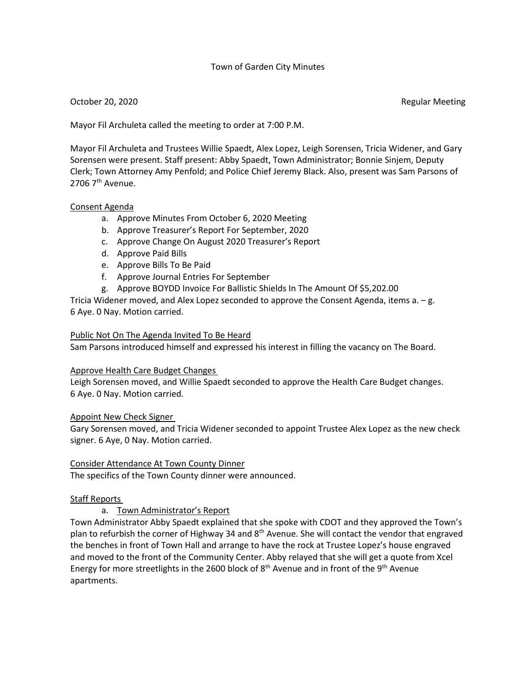## Town of Garden City Minutes

## October 20, 2020 **Regular Meeting**

Mayor Fil Archuleta called the meeting to order at 7:00 P.M.

Mayor Fil Archuleta and Trustees Willie Spaedt, Alex Lopez, Leigh Sorensen, Tricia Widener, and Gary Sorensen were present. Staff present: Abby Spaedt, Town Administrator; Bonnie Sinjem, Deputy Clerk; Town Attorney Amy Penfold; and Police Chief Jeremy Black. Also, present was Sam Parsons of 2706  $7<sup>th</sup>$  Avenue.

### Consent Agenda

- a. Approve Minutes From October 6, 2020 Meeting
- b. Approve Treasurer's Report For September, 2020
- c. Approve Change On August 2020 Treasurer's Report
- d. Approve Paid Bills
- e. Approve Bills To Be Paid
- f. Approve Journal Entries For September
- g. Approve BOYDD Invoice For Ballistic Shields In The Amount Of \$5,202.00

Tricia Widener moved, and Alex Lopez seconded to approve the Consent Agenda, items a. – g. 6 Aye. 0 Nay. Motion carried.

### Public Not On The Agenda Invited To Be Heard

Sam Parsons introduced himself and expressed his interest in filling the vacancy on The Board.

#### Approve Health Care Budget Changes

Leigh Sorensen moved, and Willie Spaedt seconded to approve the Health Care Budget changes. 6 Aye. 0 Nay. Motion carried.

#### Appoint New Check Signer

Gary Sorensen moved, and Tricia Widener seconded to appoint Trustee Alex Lopez as the new check signer. 6 Aye, 0 Nay. Motion carried.

#### Consider Attendance At Town County Dinner

The specifics of the Town County dinner were announced.

## Staff Reports

## a. Town Administrator's Report

Town Administrator Abby Spaedt explained that she spoke with CDOT and they approved the Town's plan to refurbish the corner of Highway 34 and 8<sup>th</sup> Avenue. She will contact the vendor that engraved the benches in front of Town Hall and arrange to have the rock at Trustee Lopez's house engraved and moved to the front of the Community Center. Abby relayed that she will get a quote from Xcel Energy for more streetlights in the 2600 block of  $8<sup>th</sup>$  Avenue and in front of the  $9<sup>th</sup>$  Avenue apartments.